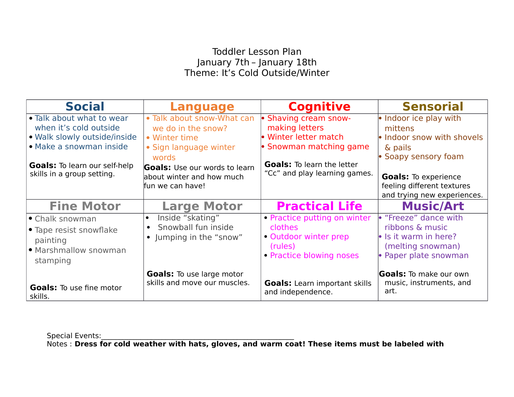## Toddler Lesson Plan January 7th – January 18th Theme: It's Cold Outside/Winter

| <b>Social</b>                                                      | <b>Language</b>                      | <b>Cognitive</b>                                          | <b>Sensorial</b>                |
|--------------------------------------------------------------------|--------------------------------------|-----------------------------------------------------------|---------------------------------|
| • Talk about what to wear                                          | . Talk about snow-What can           | · Shaving cream snow-                                     | • Indoor ice play with          |
| when it's cold outside                                             | we do in the snow?                   | making letters                                            | mittens                         |
| • Walk slowly outside/inside                                       | • Winter time                        | • Winter letter match                                     | . Indoor snow with shovels      |
| · Make a snowman inside                                            | • Sign language winter               | • Snowman matching game                                   | & pails                         |
|                                                                    | words                                | <b>Goals:</b> To learn the letter                         | • Soapy sensory foam            |
| <b>Goals:</b> To learn our self-help<br>skills in a group setting. | <b>Goals:</b> Use our words to learn | "Cc" and play learning games.                             |                                 |
|                                                                    | about winter and how much            |                                                           | <b>Goals:</b> To experience     |
|                                                                    | fun we can have!                     |                                                           | feeling different textures      |
|                                                                    |                                      |                                                           | and trying new experiences.     |
| <b>Fine Motor</b>                                                  | <b>Large Motor</b>                   | <b>Practical Life</b>                                     | <b>Music/Art</b>                |
| • Chalk snowman                                                    | Inside "skating"                     | • Practice putting on winter                              | • "Freeze" dance with           |
| • Tape resist snowflake                                            | Snowball fun inside                  | <b>clothes</b>                                            | ribbons & music                 |
| painting                                                           | • Jumping in the "snow"              | • Outdoor winter prep                                     | • Is it warm in here?           |
| · Marshmallow snowman                                              |                                      | (rules)                                                   | (melting snowman)               |
| stamping                                                           |                                      | • Practice blowing noses                                  | • Paper plate snowman           |
|                                                                    | <b>Goals:</b> To use large motor     |                                                           | <b>Goals:</b> To make our own   |
| <b>Goals:</b> To use fine motor<br>skills.                         | skills and move our muscles.         | <b>Goals:</b> Learn important skills<br>and independence. | music, instruments, and<br>art. |

Special Events:

Notes : **Dress for cold weather with hats, gloves, and warm coat! These items must be labeled with**